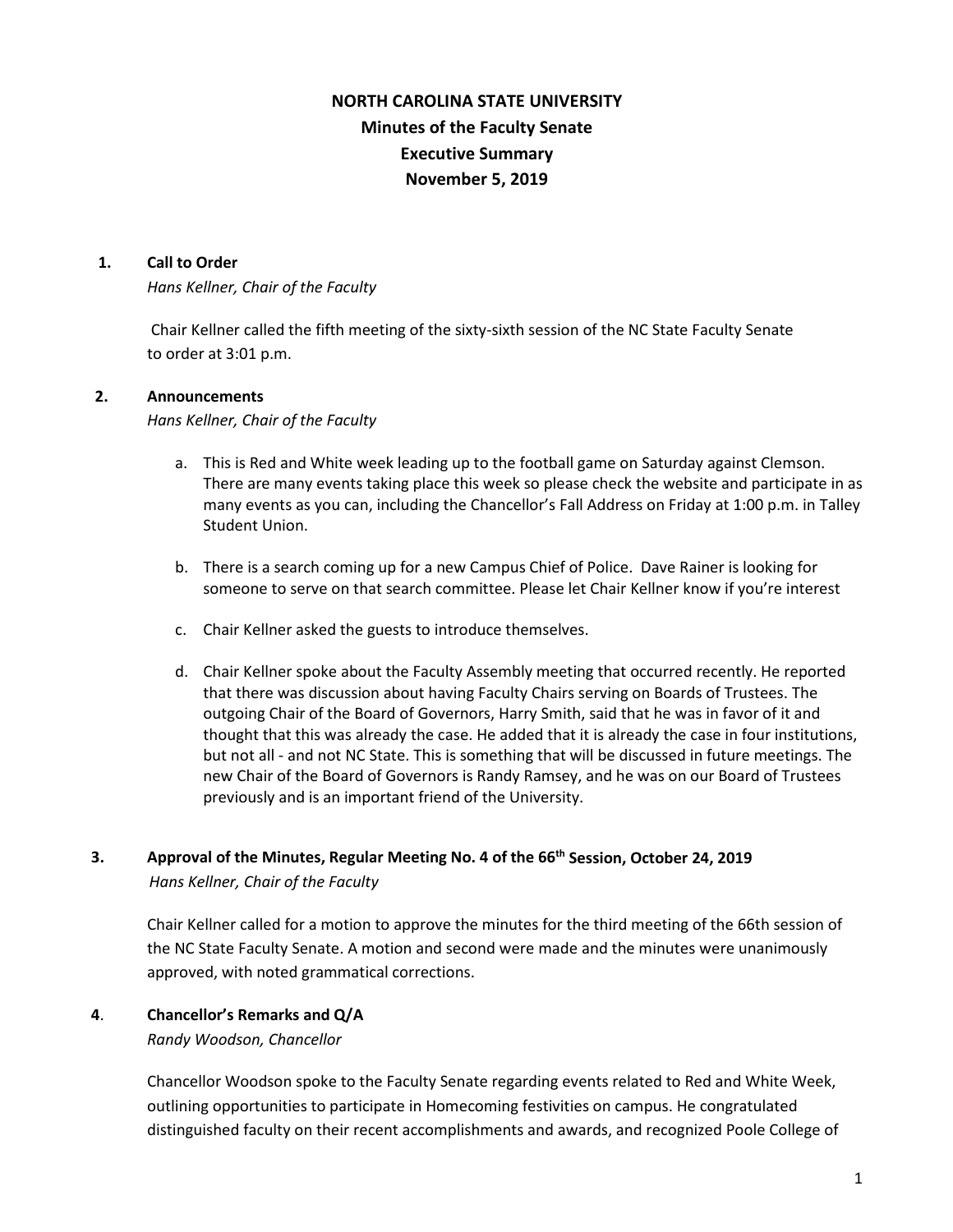# **NORTH CAROLINA STATE UNIVERSITY Minutes of the Faculty Senate Executive Summary November 5, 2019**

#### **1. Call to Order**

*Hans Kellner, Chair of the Faculty*

Chair Kellner called the fifth meeting of the sixty-sixth session of the NC State Faculty Senate to order at 3:01 p.m.

#### **2. Announcements**

*Hans Kellner, Chair of the Faculty*

- a. This is Red and White week leading up to the football game on Saturday against Clemson. There are many events taking place this week so please check the website and participate in as many events as you can, including the Chancellor's Fall Address on Friday at 1:00 p.m. in Talley Student Union.
- b. There is a search coming up for a new Campus Chief of Police. Dave Rainer is looking for someone to serve on that search committee. Please let Chair Kellner know if you're interest
- c. Chair Kellner asked the guests to introduce themselves.
- d. Chair Kellner spoke about the Faculty Assembly meeting that occurred recently. He reported that there was discussion about having Faculty Chairs serving on Boards of Trustees. The outgoing Chair of the Board of Governors, Harry Smith, said that he was in favor of it and thought that this was already the case. He added that it is already the case in four institutions, but not all - and not NC State. This is something that will be discussed in future meetings. The new Chair of the Board of Governors is Randy Ramsey, and he was on our Board of Trustees previously and is an important friend of the University.

## **3. Approval of the Minutes, Regular Meeting No. 4 of the 66th Session, October 24, 2019** *Hans Kellner, Chair of the Faculty*

Chair Kellner called for a motion to approve the minutes for the third meeting of the 66th session of the NC State Faculty Senate. A motion and second were made and the minutes were unanimously approved, with noted grammatical corrections.

#### **4**. **Chancellor's Remarks and Q/A**

*Randy Woodson, Chancellor* 

Chancellor Woodson spoke to the Faculty Senate regarding events related to Red and White Week, outlining opportunities to participate in Homecoming festivities on campus. He congratulated distinguished faculty on their recent accomplishments and awards, and recognized Poole College of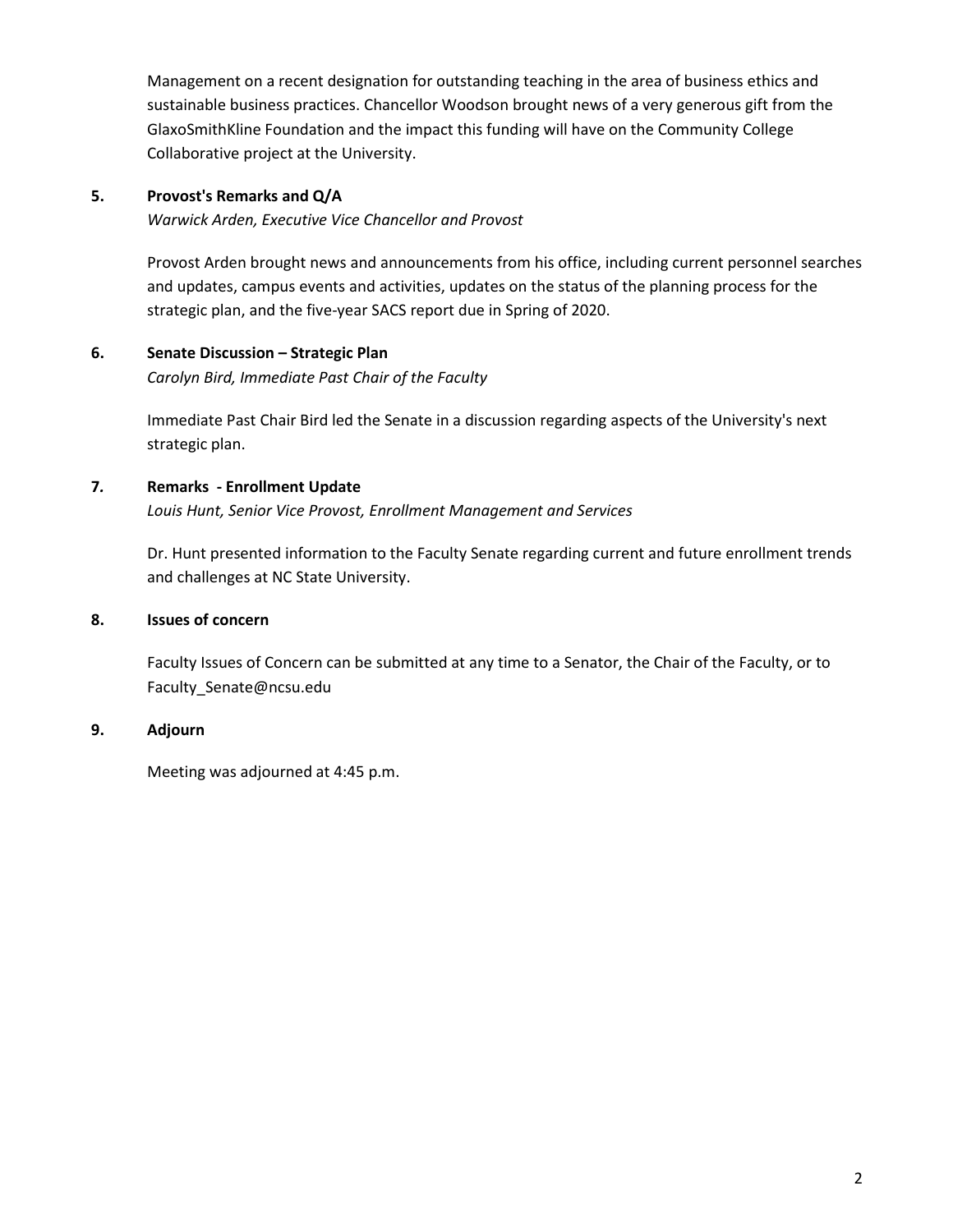Management on a recent designation for outstanding teaching in the area of business ethics and sustainable business practices. Chancellor Woodson brought news of a very generous gift from the GlaxoSmithKline Foundation and the impact this funding will have on the Community College Collaborative project at the University.

# **5. Provost's Remarks and Q/A**

*Warwick Arden, Executive Vice Chancellor and Provost* 

Provost Arden brought news and announcements from his office, including current personnel searches and updates, campus events and activities, updates on the status of the planning process for the strategic plan, and the five-year SACS report due in Spring of 2020.

## **6. Senate Discussion – Strategic Plan**

*Carolyn Bird, Immediate Past Chair of the Faculty*

Immediate Past Chair Bird led the Senate in a discussion regarding aspects of the University's next strategic plan.

## **7***.* **Remarks - Enrollment Update**

*Louis Hunt, Senior Vice Provost, Enrollment Management and Services* 

Dr. Hunt presented information to the Faculty Senate regarding current and future enrollment trends and challenges at NC State University.

## **8. Issues of concern**

 Faculty Issues of Concern can be submitted at any time to a Senator, the Chair of the Faculty, or to Faculty\_Senate@ncsu.edu

## **9. Adjourn**

Meeting was adjourned at 4:45 p.m.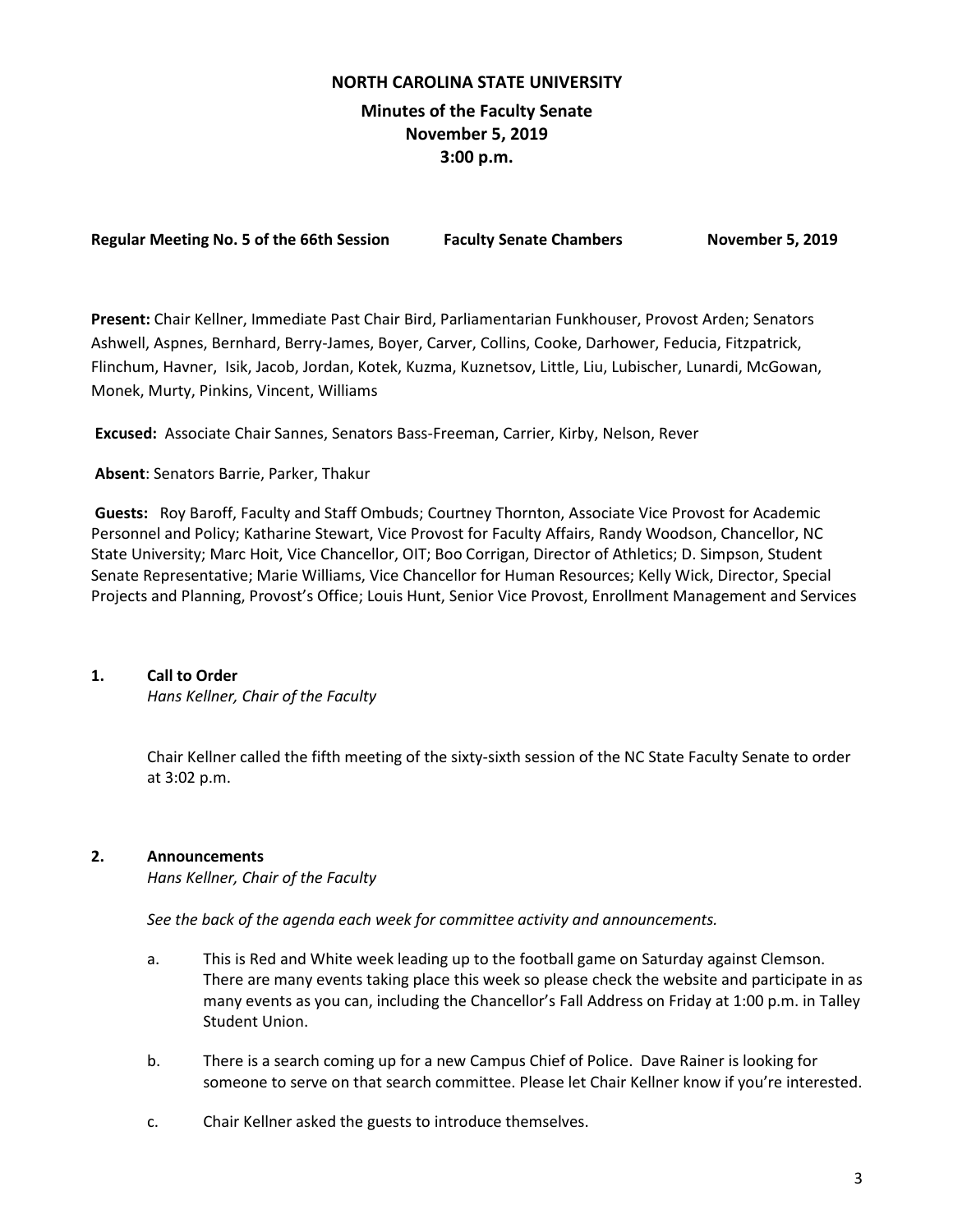# **NORTH CAROLINA STATE UNIVERSITY Minutes of the Faculty Senate November 5, 2019 3:00 p.m.**

| <b>Regular Meeting No. 5 of the 66th Session</b> | <b>Faculty Senate Chambers</b> |  |
|--------------------------------------------------|--------------------------------|--|
|                                                  |                                |  |

**Regular 5, 2019** 

**Present:** Chair Kellner, Immediate Past Chair Bird, Parliamentarian Funkhouser, Provost Arden; Senators Ashwell, Aspnes, Bernhard, Berry-James, Boyer, Carver, Collins, Cooke, Darhower, Feducia, Fitzpatrick, Flinchum, Havner, Isik, Jacob, Jordan, Kotek, Kuzma, Kuznetsov, Little, Liu, Lubischer, Lunardi, McGowan, Monek, Murty, Pinkins, Vincent, Williams

**Excused:** Associate Chair Sannes, Senators Bass-Freeman, Carrier, Kirby, Nelson, Rever

#### **Absent**: Senators Barrie, Parker, Thakur

**Guests:** Roy Baroff, Faculty and Staff Ombuds; Courtney Thornton, Associate Vice Provost for Academic Personnel and Policy; Katharine Stewart, Vice Provost for Faculty Affairs, Randy Woodson, Chancellor, NC State University; Marc Hoit, Vice Chancellor, OIT; Boo Corrigan, Director of Athletics; D. Simpson, Student Senate Representative; Marie Williams, Vice Chancellor for Human Resources; Kelly Wick, Director, Special Projects and Planning, Provost's Office; Louis Hunt, Senior Vice Provost, Enrollment Management and Services

### **1. Call to Order**

*Hans Kellner, Chair of the Faculty*

Chair Kellner called the fifth meeting of the sixty-sixth session of the NC State Faculty Senate to order at 3:02 p.m.

#### **2. Announcements**

*Hans Kellner, Chair of the Faculty*

*See the back of the agenda each week for committee activity and announcements.*

- a. This is Red and White week leading up to the football game on Saturday against Clemson. There are many events taking place this week so please check the website and participate in as many events as you can, including the Chancellor's Fall Address on Friday at 1:00 p.m. in Talley Student Union.
- b. There is a search coming up for a new Campus Chief of Police. Dave Rainer is looking for someone to serve on that search committee. Please let Chair Kellner know if you're interested.
- c. Chair Kellner asked the guests to introduce themselves.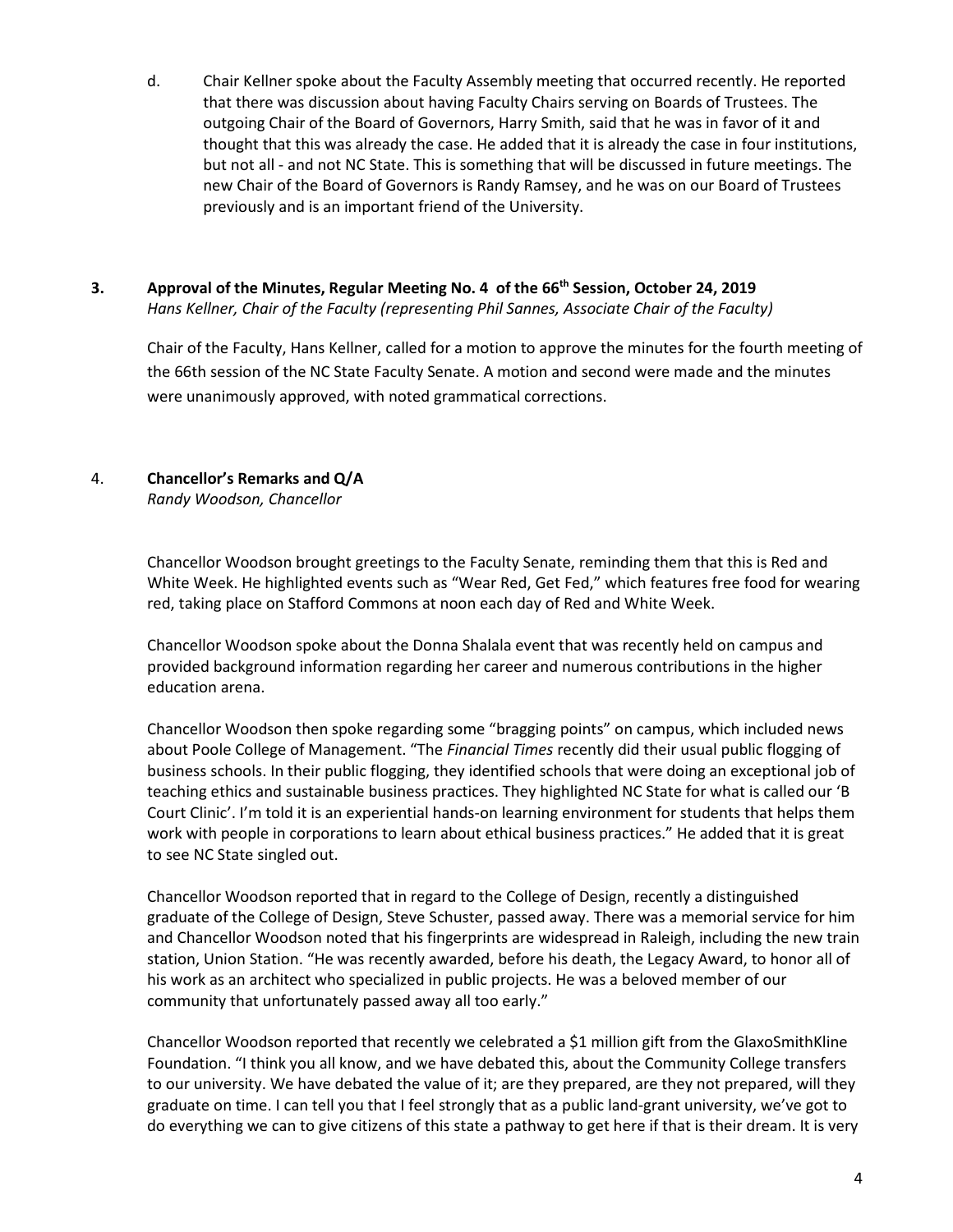d. Chair Kellner spoke about the Faculty Assembly meeting that occurred recently. He reported that there was discussion about having Faculty Chairs serving on Boards of Trustees. The outgoing Chair of the Board of Governors, Harry Smith, said that he was in favor of it and thought that this was already the case. He added that it is already the case in four institutions, but not all - and not NC State. This is something that will be discussed in future meetings. The new Chair of the Board of Governors is Randy Ramsey, and he was on our Board of Trustees previously and is an important friend of the University.

# **3. Approval of the Minutes, Regular Meeting No. 4 of the 66th Session, October 24, 2019** *Hans Kellner, Chair of the Faculty (representing Phil Sannes, Associate Chair of the Faculty)*

Chair of the Faculty, Hans Kellner, called for a motion to approve the minutes for the fourth meeting of the 66th session of the NC State Faculty Senate. A motion and second were made and the minutes were unanimously approved, with noted grammatical corrections.

# 4. **Chancellor's Remarks and Q/A**

*Randy Woodson, Chancellor*

Chancellor Woodson brought greetings to the Faculty Senate, reminding them that this is Red and White Week. He highlighted events such as "Wear Red, Get Fed," which features free food for wearing red, taking place on Stafford Commons at noon each day of Red and White Week.

Chancellor Woodson spoke about the Donna Shalala event that was recently held on campus and provided background information regarding her career and numerous contributions in the higher education arena.

Chancellor Woodson then spoke regarding some "bragging points" on campus, which included news about Poole College of Management. "The *Financial Times* recently did their usual public flogging of business schools. In their public flogging, they identified schools that were doing an exceptional job of teaching ethics and sustainable business practices. They highlighted NC State for what is called our 'B Court Clinic'. I'm told it is an experiential hands-on learning environment for students that helps them work with people in corporations to learn about ethical business practices." He added that it is great to see NC State singled out.

Chancellor Woodson reported that in regard to the College of Design, recently a distinguished graduate of the College of Design, Steve Schuster, passed away. There was a memorial service for him and Chancellor Woodson noted that his fingerprints are widespread in Raleigh, including the new train station, Union Station. "He was recently awarded, before his death, the Legacy Award, to honor all of his work as an architect who specialized in public projects. He was a beloved member of our community that unfortunately passed away all too early."

Chancellor Woodson reported that recently we celebrated a \$1 million gift from the GlaxoSmithKline Foundation. "I think you all know, and we have debated this, about the Community College transfers to our university. We have debated the value of it; are they prepared, are they not prepared, will they graduate on time. I can tell you that I feel strongly that as a public land-grant university, we've got to do everything we can to give citizens of this state a pathway to get here if that is their dream. It is very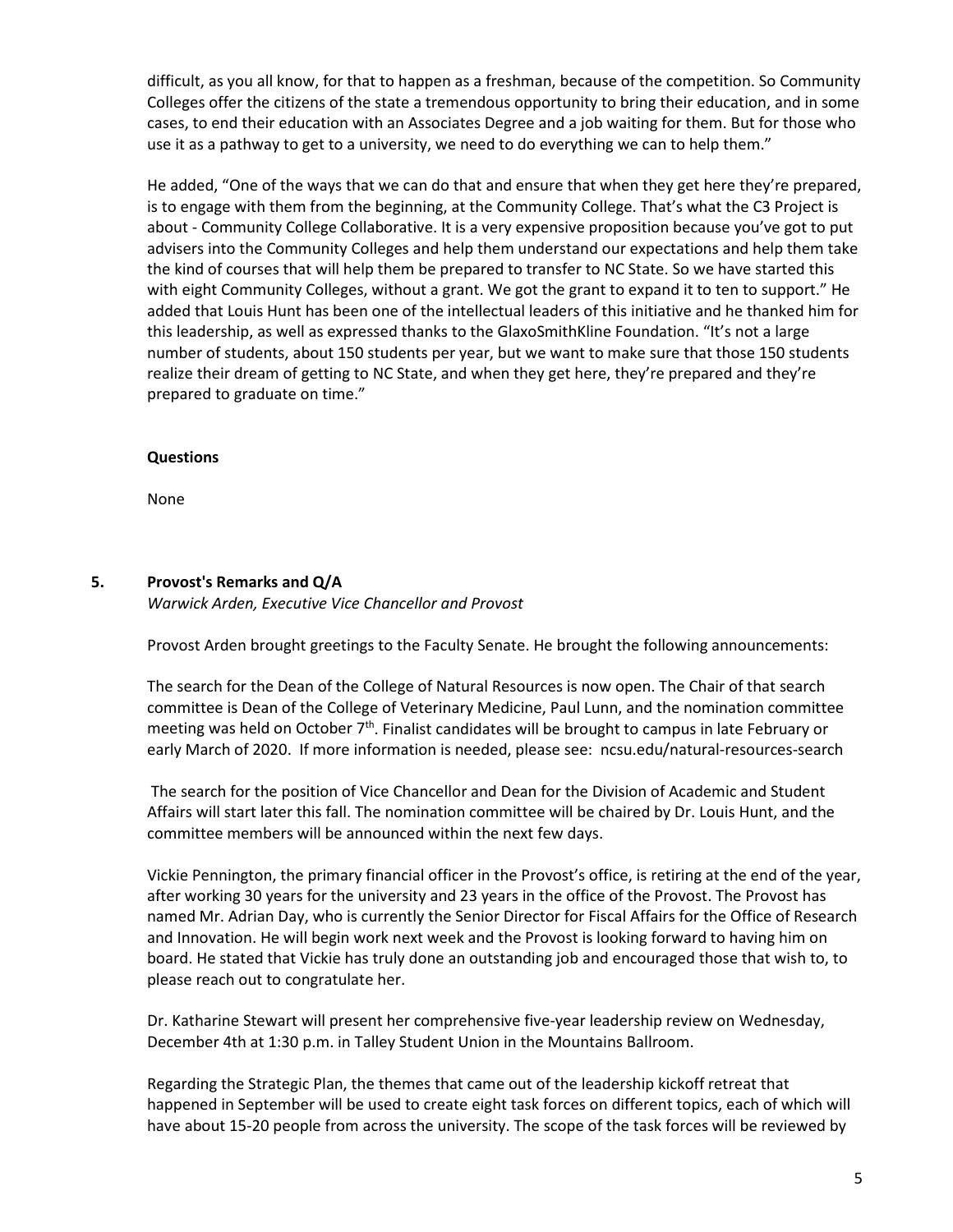difficult, as you all know, for that to happen as a freshman, because of the competition. So Community Colleges offer the citizens of the state a tremendous opportunity to bring their education, and in some cases, to end their education with an Associates Degree and a job waiting for them. But for those who use it as a pathway to get to a university, we need to do everything we can to help them."

He added, "One of the ways that we can do that and ensure that when they get here they're prepared, is to engage with them from the beginning, at the Community College. That's what the C3 Project is about - Community College Collaborative. It is a very expensive proposition because you've got to put advisers into the Community Colleges and help them understand our expectations and help them take the kind of courses that will help them be prepared to transfer to NC State. So we have started this with eight Community Colleges, without a grant. We got the grant to expand it to ten to support." He added that Louis Hunt has been one of the intellectual leaders of this initiative and he thanked him for this leadership, as well as expressed thanks to the GlaxoSmithKline Foundation. "It's not a large number of students, about 150 students per year, but we want to make sure that those 150 students realize their dream of getting to NC State, and when they get here, they're prepared and they're prepared to graduate on time."

#### **Questions**

None

#### **5. Provost's Remarks and Q/A**

*Warwick Arden, Executive Vice Chancellor and Provost* 

Provost Arden brought greetings to the Faculty Senate. He brought the following announcements:

The search for the Dean of the College of Natural Resources is now open. The Chair of that search committee is Dean of the College of Veterinary Medicine, Paul Lunn, and the nomination committee meeting was held on October  $7<sup>th</sup>$ . Finalist candidates will be brought to campus in late February or early March of 2020. If more information is needed, please see: ncsu.edu/natural-resources-search

The search for the position of Vice Chancellor and Dean for the Division of Academic and Student Affairs will start later this fall. The nomination committee will be chaired by Dr. Louis Hunt, and the committee members will be announced within the next few days.

Vickie Pennington, the primary financial officer in the Provost's office, is retiring at the end of the year, after working 30 years for the university and 23 years in the office of the Provost. The Provost has named Mr. Adrian Day, who is currently the Senior Director for Fiscal Affairs for the Office of Research and Innovation. He will begin work next week and the Provost is looking forward to having him on board. He stated that Vickie has truly done an outstanding job and encouraged those that wish to, to please reach out to congratulate her.

Dr. Katharine Stewart will present her comprehensive five-year leadership review on Wednesday, December 4th at 1:30 p.m. in Talley Student Union in the Mountains Ballroom.

Regarding the Strategic Plan, the themes that came out of the leadership kickoff retreat that happened in September will be used to create eight task forces on different topics, each of which will have about 15-20 people from across the university. The scope of the task forces will be reviewed by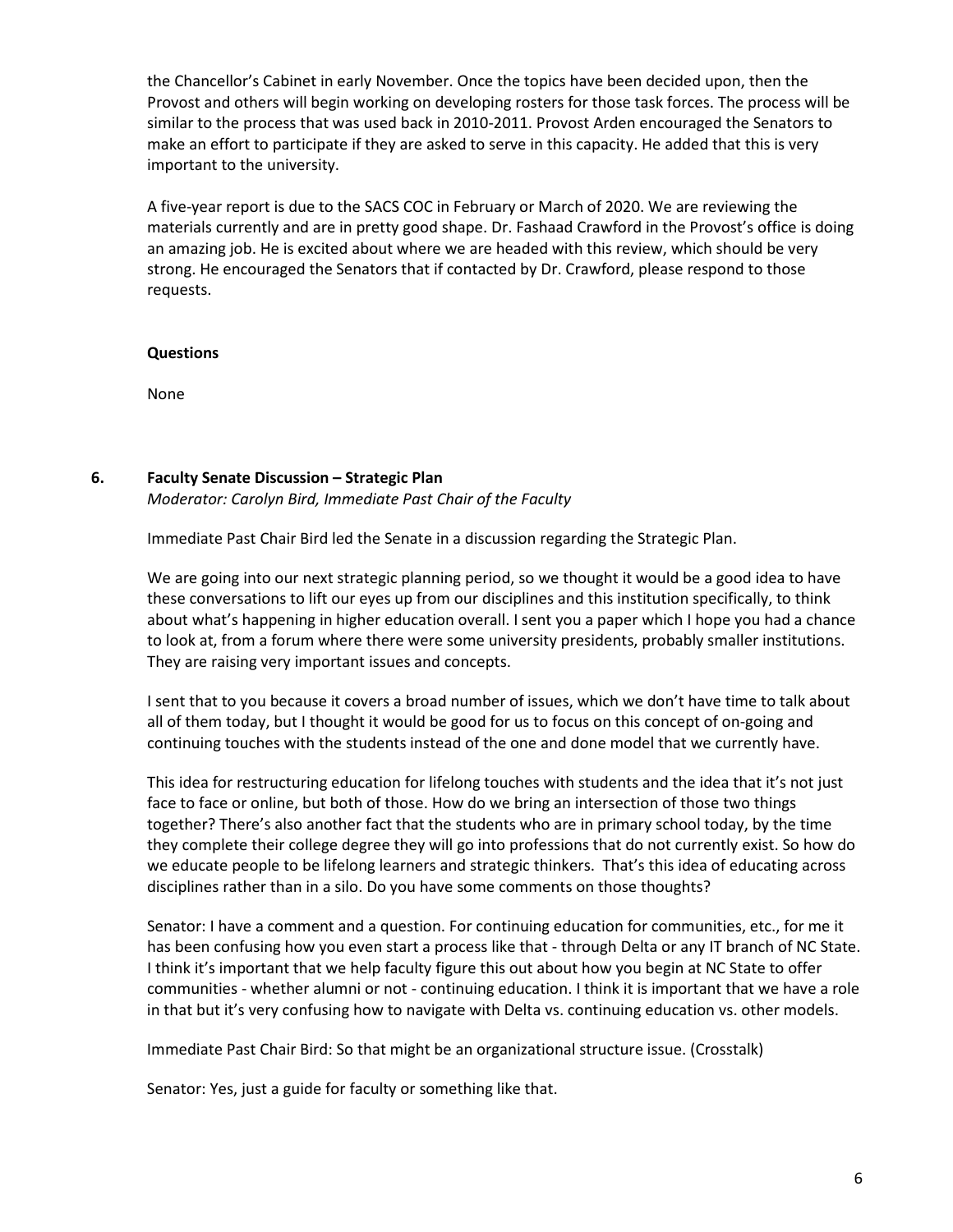the Chancellor's Cabinet in early November. Once the topics have been decided upon, then the Provost and others will begin working on developing rosters for those task forces. The process will be similar to the process that was used back in 2010-2011. Provost Arden encouraged the Senators to make an effort to participate if they are asked to serve in this capacity. He added that this is very important to the university.

A five-year report is due to the SACS COC in February or March of 2020. We are reviewing the materials currently and are in pretty good shape. Dr. Fashaad Crawford in the Provost's office is doing an amazing job. He is excited about where we are headed with this review, which should be very strong. He encouraged the Senators that if contacted by Dr. Crawford, please respond to those requests.

#### **Questions**

None

#### **6. Faculty Senate Discussion – Strategic Plan**

*Moderator: Carolyn Bird, Immediate Past Chair of the Faculty* 

Immediate Past Chair Bird led the Senate in a discussion regarding the Strategic Plan.

We are going into our next strategic planning period, so we thought it would be a good idea to have these conversations to lift our eyes up from our disciplines and this institution specifically, to think about what's happening in higher education overall. I sent you a paper which I hope you had a chance to look at, from a forum where there were some university presidents, probably smaller institutions. They are raising very important issues and concepts.

I sent that to you because it covers a broad number of issues, which we don't have time to talk about all of them today, but I thought it would be good for us to focus on this concept of on-going and continuing touches with the students instead of the one and done model that we currently have.

This idea for restructuring education for lifelong touches with students and the idea that it's not just face to face or online, but both of those. How do we bring an intersection of those two things together? There's also another fact that the students who are in primary school today, by the time they complete their college degree they will go into professions that do not currently exist. So how do we educate people to be lifelong learners and strategic thinkers. That's this idea of educating across disciplines rather than in a silo. Do you have some comments on those thoughts?

Senator: I have a comment and a question. For continuing education for communities, etc., for me it has been confusing how you even start a process like that - through Delta or any IT branch of NC State. I think it's important that we help faculty figure this out about how you begin at NC State to offer communities - whether alumni or not - continuing education. I think it is important that we have a role in that but it's very confusing how to navigate with Delta vs. continuing education vs. other models.

Immediate Past Chair Bird: So that might be an organizational structure issue. (Crosstalk)

Senator: Yes, just a guide for faculty or something like that.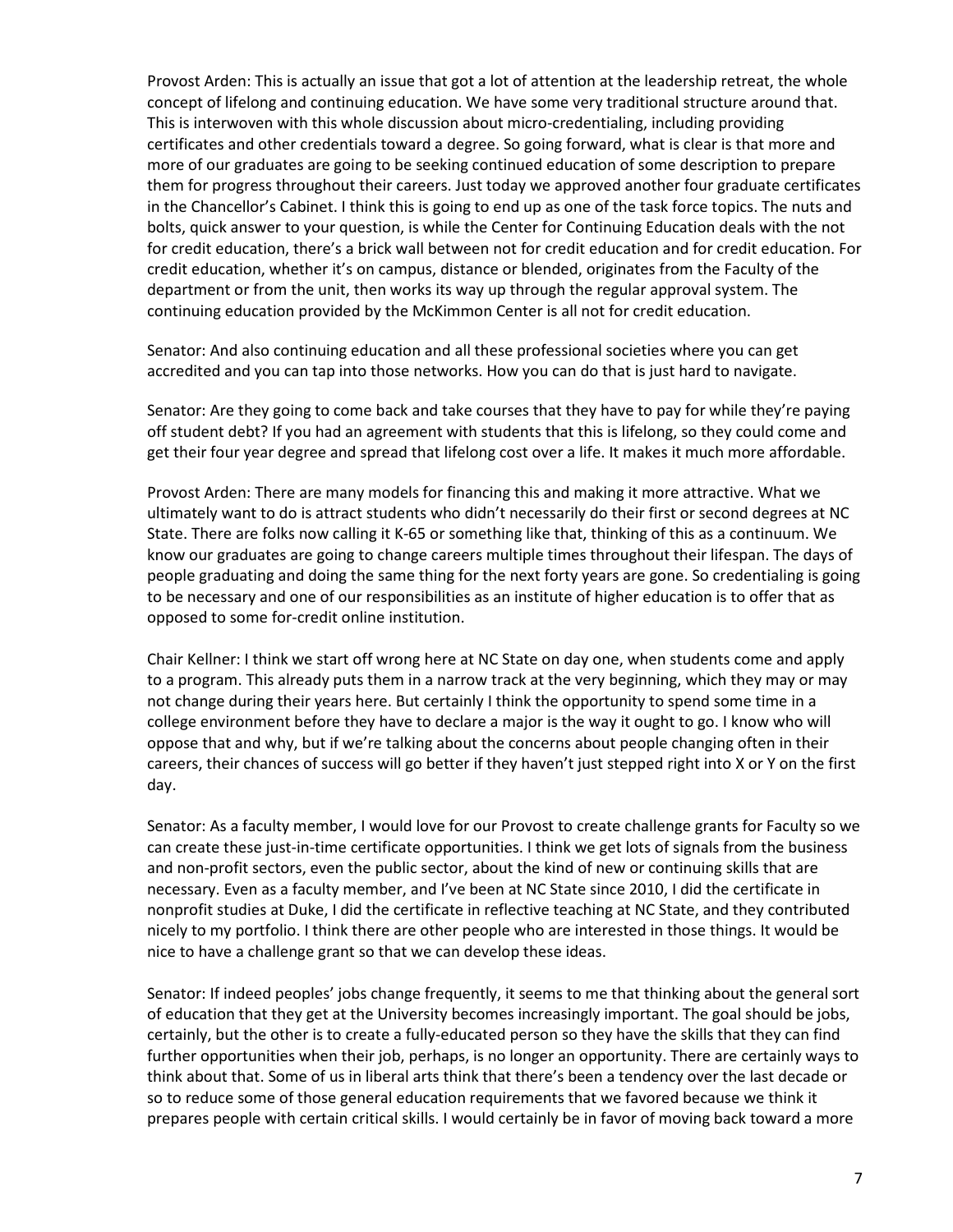Provost Arden: This is actually an issue that got a lot of attention at the leadership retreat, the whole concept of lifelong and continuing education. We have some very traditional structure around that. This is interwoven with this whole discussion about micro-credentialing, including providing certificates and other credentials toward a degree. So going forward, what is clear is that more and more of our graduates are going to be seeking continued education of some description to prepare them for progress throughout their careers. Just today we approved another four graduate certificates in the Chancellor's Cabinet. I think this is going to end up as one of the task force topics. The nuts and bolts, quick answer to your question, is while the Center for Continuing Education deals with the not for credit education, there's a brick wall between not for credit education and for credit education. For credit education, whether it's on campus, distance or blended, originates from the Faculty of the department or from the unit, then works its way up through the regular approval system. The continuing education provided by the McKimmon Center is all not for credit education.

Senator: And also continuing education and all these professional societies where you can get accredited and you can tap into those networks. How you can do that is just hard to navigate.

Senator: Are they going to come back and take courses that they have to pay for while they're paying off student debt? If you had an agreement with students that this is lifelong, so they could come and get their four year degree and spread that lifelong cost over a life. It makes it much more affordable.

Provost Arden: There are many models for financing this and making it more attractive. What we ultimately want to do is attract students who didn't necessarily do their first or second degrees at NC State. There are folks now calling it K-65 or something like that, thinking of this as a continuum. We know our graduates are going to change careers multiple times throughout their lifespan. The days of people graduating and doing the same thing for the next forty years are gone. So credentialing is going to be necessary and one of our responsibilities as an institute of higher education is to offer that as opposed to some for-credit online institution.

Chair Kellner: I think we start off wrong here at NC State on day one, when students come and apply to a program. This already puts them in a narrow track at the very beginning, which they may or may not change during their years here. But certainly I think the opportunity to spend some time in a college environment before they have to declare a major is the way it ought to go. I know who will oppose that and why, but if we're talking about the concerns about people changing often in their careers, their chances of success will go better if they haven't just stepped right into X or Y on the first day.

Senator: As a faculty member, I would love for our Provost to create challenge grants for Faculty so we can create these just-in-time certificate opportunities. I think we get lots of signals from the business and non-profit sectors, even the public sector, about the kind of new or continuing skills that are necessary. Even as a faculty member, and I've been at NC State since 2010, I did the certificate in nonprofit studies at Duke, I did the certificate in reflective teaching at NC State, and they contributed nicely to my portfolio. I think there are other people who are interested in those things. It would be nice to have a challenge grant so that we can develop these ideas.

Senator: If indeed peoples' jobs change frequently, it seems to me that thinking about the general sort of education that they get at the University becomes increasingly important. The goal should be jobs, certainly, but the other is to create a fully-educated person so they have the skills that they can find further opportunities when their job, perhaps, is no longer an opportunity. There are certainly ways to think about that. Some of us in liberal arts think that there's been a tendency over the last decade or so to reduce some of those general education requirements that we favored because we think it prepares people with certain critical skills. I would certainly be in favor of moving back toward a more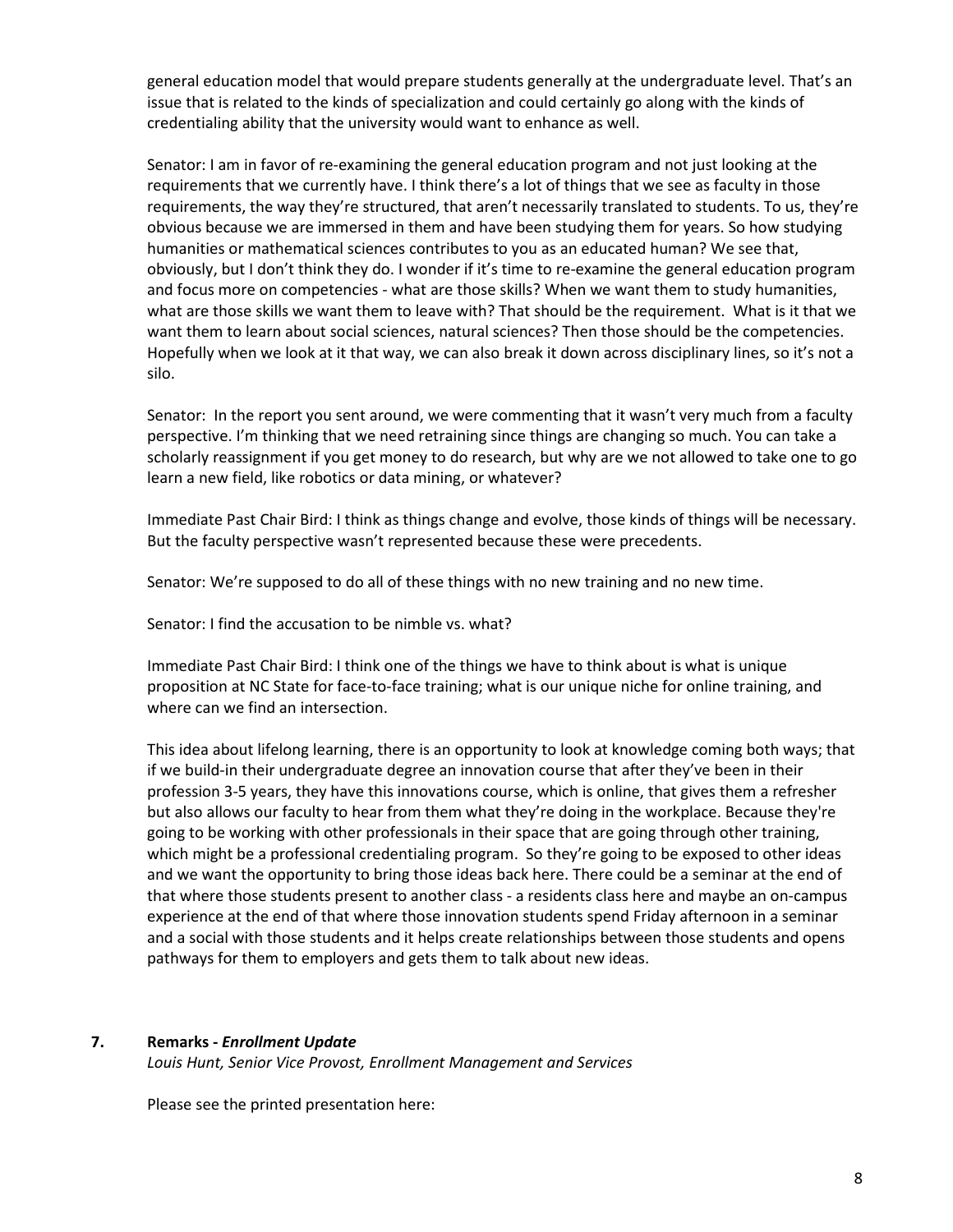general education model that would prepare students generally at the undergraduate level. That's an issue that is related to the kinds of specialization and could certainly go along with the kinds of credentialing ability that the university would want to enhance as well.

Senator: I am in favor of re-examining the general education program and not just looking at the requirements that we currently have. I think there's a lot of things that we see as faculty in those requirements, the way they're structured, that aren't necessarily translated to students. To us, they're obvious because we are immersed in them and have been studying them for years. So how studying humanities or mathematical sciences contributes to you as an educated human? We see that, obviously, but I don't think they do. I wonder if it's time to re-examine the general education program and focus more on competencies - what are those skills? When we want them to study humanities, what are those skills we want them to leave with? That should be the requirement. What is it that we want them to learn about social sciences, natural sciences? Then those should be the competencies. Hopefully when we look at it that way, we can also break it down across disciplinary lines, so it's not a silo.

Senator: In the report you sent around, we were commenting that it wasn't very much from a faculty perspective. I'm thinking that we need retraining since things are changing so much. You can take a scholarly reassignment if you get money to do research, but why are we not allowed to take one to go learn a new field, like robotics or data mining, or whatever?

Immediate Past Chair Bird: I think as things change and evolve, those kinds of things will be necessary. But the faculty perspective wasn't represented because these were precedents.

Senator: We're supposed to do all of these things with no new training and no new time.

Senator: I find the accusation to be nimble vs. what?

Immediate Past Chair Bird: I think one of the things we have to think about is what is unique proposition at NC State for face-to-face training; what is our unique niche for online training, and where can we find an intersection.

This idea about lifelong learning, there is an opportunity to look at knowledge coming both ways; that if we build-in their undergraduate degree an innovation course that after they've been in their profession 3-5 years, they have this innovations course, which is online, that gives them a refresher but also allows our faculty to hear from them what they're doing in the workplace. Because they're going to be working with other professionals in their space that are going through other training, which might be a professional credentialing program. So they're going to be exposed to other ideas and we want the opportunity to bring those ideas back here. There could be a seminar at the end of that where those students present to another class - a residents class here and maybe an on-campus experience at the end of that where those innovation students spend Friday afternoon in a seminar and a social with those students and it helps create relationships between those students and opens pathways for them to employers and gets them to talk about new ideas.

#### **7. Remarks -** *Enrollment Update*

*Louis Hunt, Senior Vice Provost, Enrollment Management and Services* 

Please see the printed presentation here: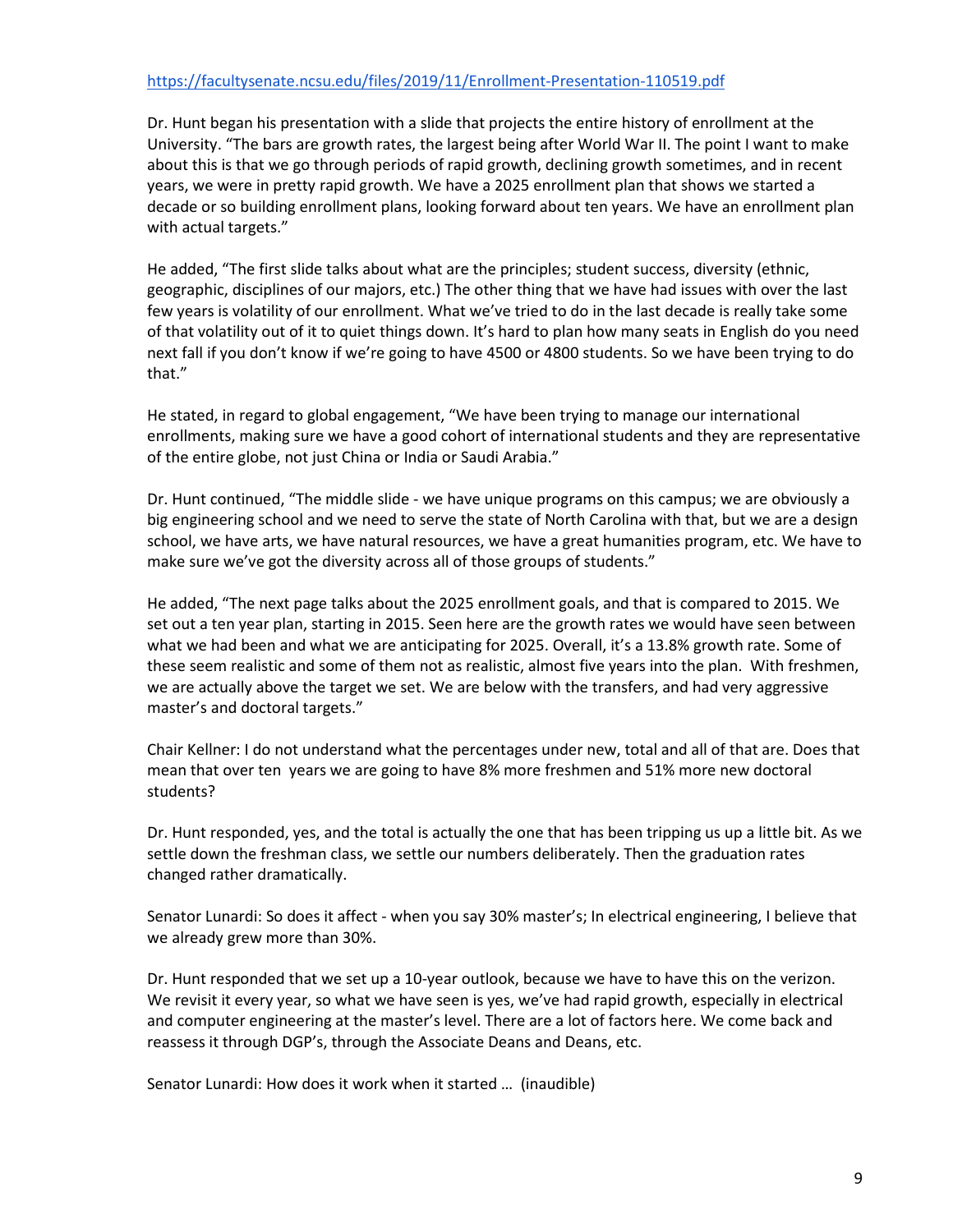## <https://facultysenate.ncsu.edu/files/2019/11/Enrollment-Presentation-110519.pdf>

Dr. Hunt began his presentation with a slide that projects the entire history of enrollment at the University. "The bars are growth rates, the largest being after World War II. The point I want to make about this is that we go through periods of rapid growth, declining growth sometimes, and in recent years, we were in pretty rapid growth. We have a 2025 enrollment plan that shows we started a decade or so building enrollment plans, looking forward about ten years. We have an enrollment plan with actual targets."

He added, "The first slide talks about what are the principles; student success, diversity (ethnic, geographic, disciplines of our majors, etc.) The other thing that we have had issues with over the last few years is volatility of our enrollment. What we've tried to do in the last decade is really take some of that volatility out of it to quiet things down. It's hard to plan how many seats in English do you need next fall if you don't know if we're going to have 4500 or 4800 students. So we have been trying to do that."

He stated, in regard to global engagement, "We have been trying to manage our international enrollments, making sure we have a good cohort of international students and they are representative of the entire globe, not just China or India or Saudi Arabia."

Dr. Hunt continued, "The middle slide - we have unique programs on this campus; we are obviously a big engineering school and we need to serve the state of North Carolina with that, but we are a design school, we have arts, we have natural resources, we have a great humanities program, etc. We have to make sure we've got the diversity across all of those groups of students."

He added, "The next page talks about the 2025 enrollment goals, and that is compared to 2015. We set out a ten year plan, starting in 2015. Seen here are the growth rates we would have seen between what we had been and what we are anticipating for 2025. Overall, it's a 13.8% growth rate. Some of these seem realistic and some of them not as realistic, almost five years into the plan. With freshmen, we are actually above the target we set. We are below with the transfers, and had very aggressive master's and doctoral targets."

Chair Kellner: I do not understand what the percentages under new, total and all of that are. Does that mean that over ten years we are going to have 8% more freshmen and 51% more new doctoral students?

Dr. Hunt responded, yes, and the total is actually the one that has been tripping us up a little bit. As we settle down the freshman class, we settle our numbers deliberately. Then the graduation rates changed rather dramatically.

Senator Lunardi: So does it affect - when you say 30% master's; In electrical engineering, I believe that we already grew more than 30%.

Dr. Hunt responded that we set up a 10-year outlook, because we have to have this on the verizon. We revisit it every year, so what we have seen is yes, we've had rapid growth, especially in electrical and computer engineering at the master's level. There are a lot of factors here. We come back and reassess it through DGP's, through the Associate Deans and Deans, etc.

Senator Lunardi: How does it work when it started … (inaudible)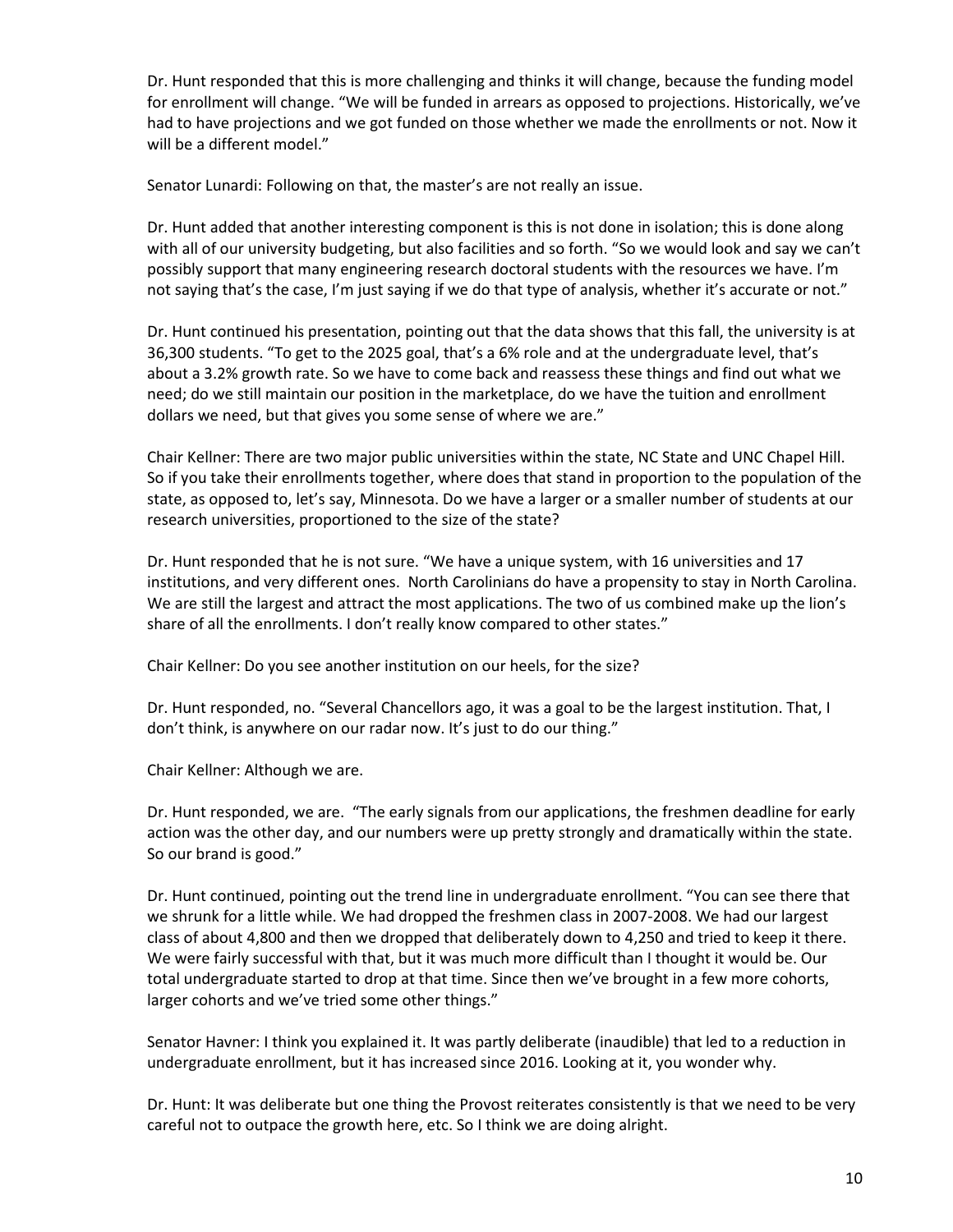Dr. Hunt responded that this is more challenging and thinks it will change, because the funding model for enrollment will change. "We will be funded in arrears as opposed to projections. Historically, we've had to have projections and we got funded on those whether we made the enrollments or not. Now it will be a different model."

Senator Lunardi: Following on that, the master's are not really an issue.

Dr. Hunt added that another interesting component is this is not done in isolation; this is done along with all of our university budgeting, but also facilities and so forth. "So we would look and say we can't possibly support that many engineering research doctoral students with the resources we have. I'm not saying that's the case, I'm just saying if we do that type of analysis, whether it's accurate or not."

Dr. Hunt continued his presentation, pointing out that the data shows that this fall, the university is at 36,300 students. "To get to the 2025 goal, that's a 6% role and at the undergraduate level, that's about a 3.2% growth rate. So we have to come back and reassess these things and find out what we need; do we still maintain our position in the marketplace, do we have the tuition and enrollment dollars we need, but that gives you some sense of where we are."

Chair Kellner: There are two major public universities within the state, NC State and UNC Chapel Hill. So if you take their enrollments together, where does that stand in proportion to the population of the state, as opposed to, let's say, Minnesota. Do we have a larger or a smaller number of students at our research universities, proportioned to the size of the state?

Dr. Hunt responded that he is not sure. "We have a unique system, with 16 universities and 17 institutions, and very different ones. North Carolinians do have a propensity to stay in North Carolina. We are still the largest and attract the most applications. The two of us combined make up the lion's share of all the enrollments. I don't really know compared to other states."

Chair Kellner: Do you see another institution on our heels, for the size?

Dr. Hunt responded, no. "Several Chancellors ago, it was a goal to be the largest institution. That, I don't think, is anywhere on our radar now. It's just to do our thing."

Chair Kellner: Although we are.

Dr. Hunt responded, we are. "The early signals from our applications, the freshmen deadline for early action was the other day, and our numbers were up pretty strongly and dramatically within the state. So our brand is good."

Dr. Hunt continued, pointing out the trend line in undergraduate enrollment. "You can see there that we shrunk for a little while. We had dropped the freshmen class in 2007-2008. We had our largest class of about 4,800 and then we dropped that deliberately down to 4,250 and tried to keep it there. We were fairly successful with that, but it was much more difficult than I thought it would be. Our total undergraduate started to drop at that time. Since then we've brought in a few more cohorts, larger cohorts and we've tried some other things."

Senator Havner: I think you explained it. It was partly deliberate (inaudible) that led to a reduction in undergraduate enrollment, but it has increased since 2016. Looking at it, you wonder why.

Dr. Hunt: It was deliberate but one thing the Provost reiterates consistently is that we need to be very careful not to outpace the growth here, etc. So I think we are doing alright.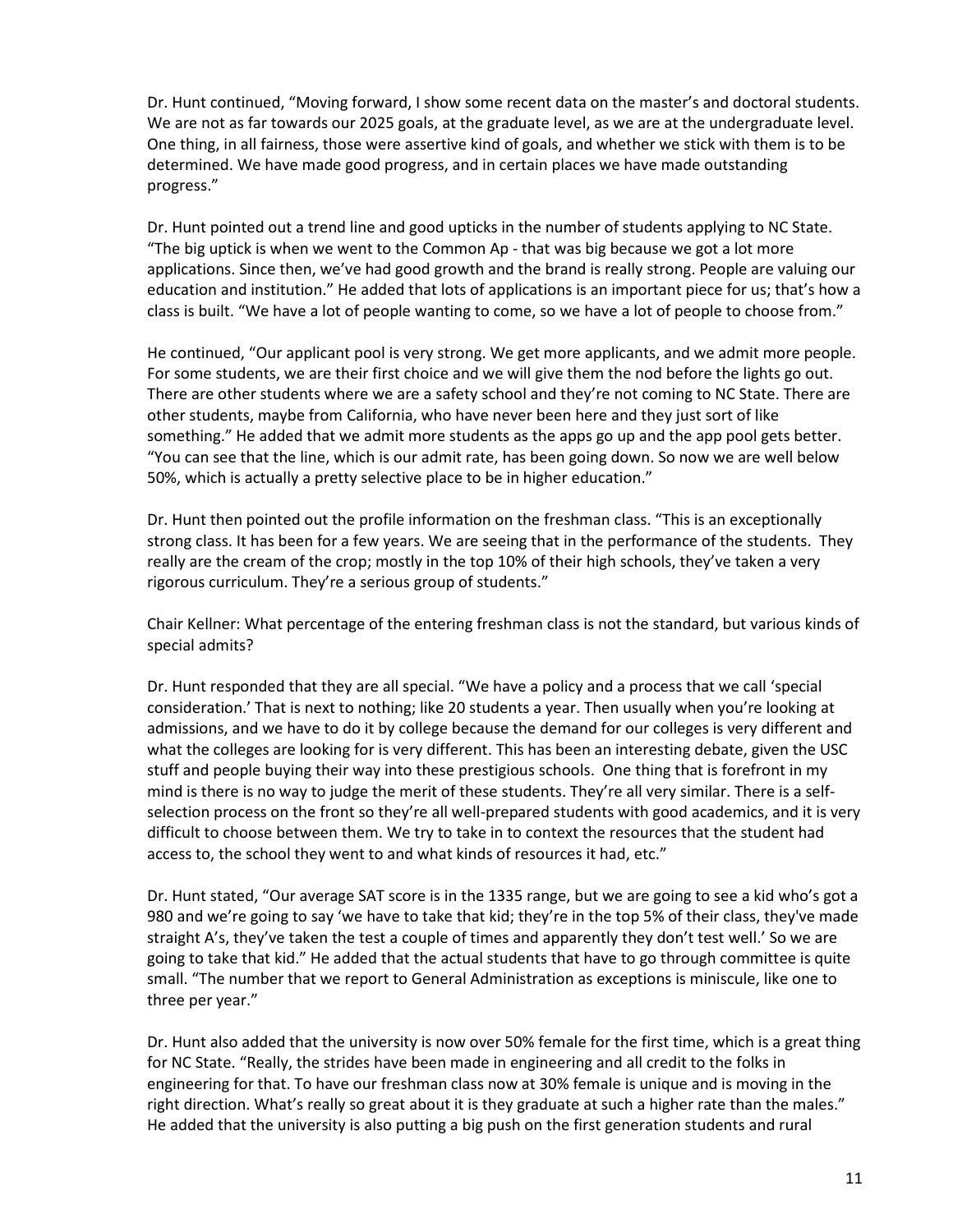Dr. Hunt continued, "Moving forward, I show some recent data on the master's and doctoral students. We are not as far towards our 2025 goals, at the graduate level, as we are at the undergraduate level. One thing, in all fairness, those were assertive kind of goals, and whether we stick with them is to be determined. We have made good progress, and in certain places we have made outstanding progress."

Dr. Hunt pointed out a trend line and good upticks in the number of students applying to NC State. "The big uptick is when we went to the Common Ap - that was big because we got a lot more applications. Since then, we've had good growth and the brand is really strong. People are valuing our education and institution." He added that lots of applications is an important piece for us; that's how a class is built. "We have a lot of people wanting to come, so we have a lot of people to choose from."

He continued, "Our applicant pool is very strong. We get more applicants, and we admit more people. For some students, we are their first choice and we will give them the nod before the lights go out. There are other students where we are a safety school and they're not coming to NC State. There are other students, maybe from California, who have never been here and they just sort of like something." He added that we admit more students as the apps go up and the app pool gets better. "You can see that the line, which is our admit rate, has been going down. So now we are well below 50%, which is actually a pretty selective place to be in higher education."

Dr. Hunt then pointed out the profile information on the freshman class. "This is an exceptionally strong class. It has been for a few years. We are seeing that in the performance of the students. They really are the cream of the crop; mostly in the top 10% of their high schools, they've taken a very rigorous curriculum. They're a serious group of students."

Chair Kellner: What percentage of the entering freshman class is not the standard, but various kinds of special admits?

Dr. Hunt responded that they are all special. "We have a policy and a process that we call 'special consideration.' That is next to nothing; like 20 students a year. Then usually when you're looking at admissions, and we have to do it by college because the demand for our colleges is very different and what the colleges are looking for is very different. This has been an interesting debate, given the USC stuff and people buying their way into these prestigious schools. One thing that is forefront in my mind is there is no way to judge the merit of these students. They're all very similar. There is a selfselection process on the front so they're all well-prepared students with good academics, and it is very difficult to choose between them. We try to take in to context the resources that the student had access to, the school they went to and what kinds of resources it had, etc."

Dr. Hunt stated, "Our average SAT score is in the 1335 range, but we are going to see a kid who's got a 980 and we're going to say 'we have to take that kid; they're in the top 5% of their class, they've made straight A's, they've taken the test a couple of times and apparently they don't test well.' So we are going to take that kid." He added that the actual students that have to go through committee is quite small. "The number that we report to General Administration as exceptions is miniscule, like one to three per year."

Dr. Hunt also added that the university is now over 50% female for the first time, which is a great thing for NC State. "Really, the strides have been made in engineering and all credit to the folks in engineering for that. To have our freshman class now at 30% female is unique and is moving in the right direction. What's really so great about it is they graduate at such a higher rate than the males." He added that the university is also putting a big push on the first generation students and rural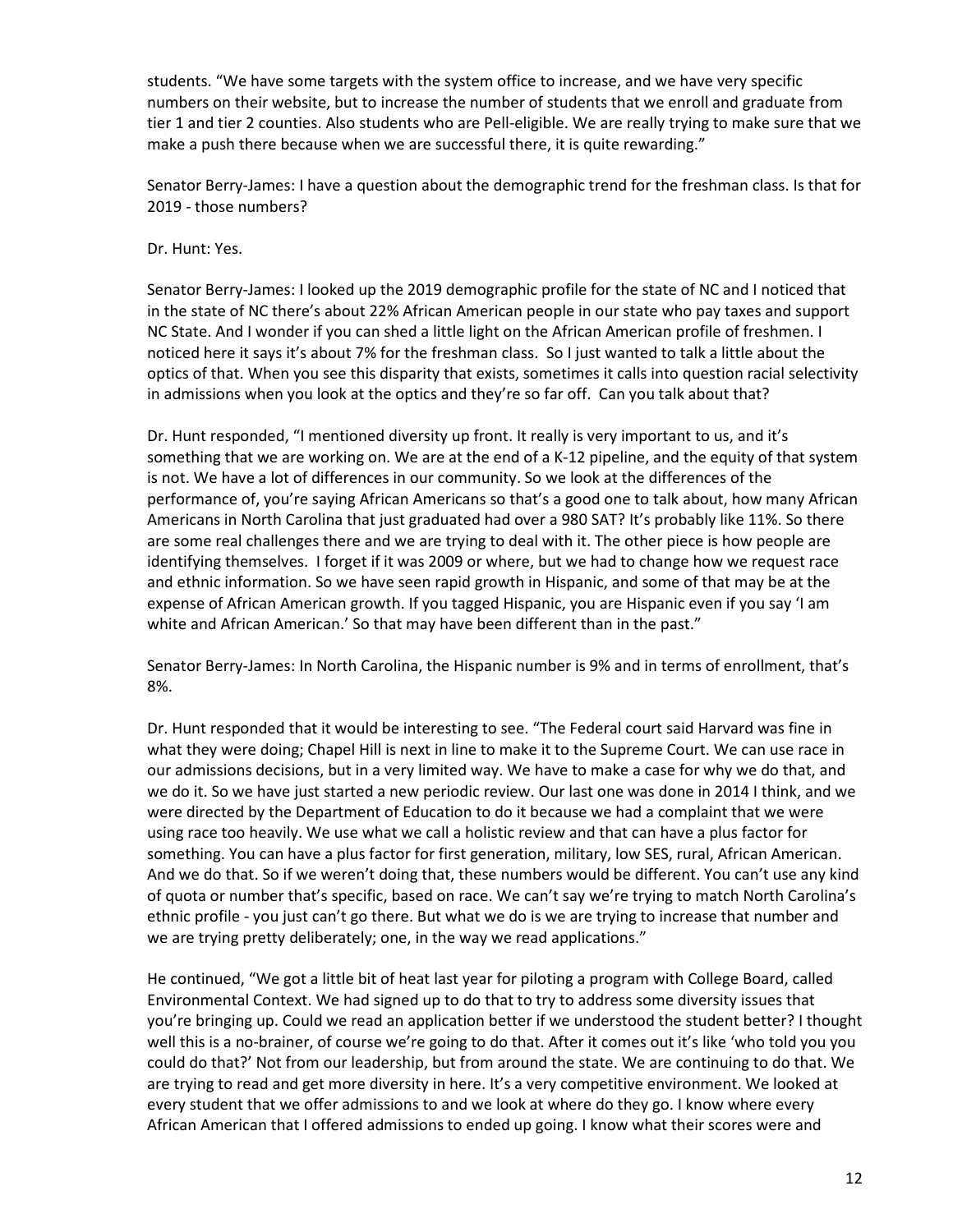students. "We have some targets with the system office to increase, and we have very specific numbers on their website, but to increase the number of students that we enroll and graduate from tier 1 and tier 2 counties. Also students who are Pell-eligible. We are really trying to make sure that we make a push there because when we are successful there, it is quite rewarding."

Senator Berry-James: I have a question about the demographic trend for the freshman class. Is that for 2019 - those numbers?

#### Dr. Hunt: Yes.

Senator Berry-James: I looked up the 2019 demographic profile for the state of NC and I noticed that in the state of NC there's about 22% African American people in our state who pay taxes and support NC State. And I wonder if you can shed a little light on the African American profile of freshmen. I noticed here it says it's about 7% for the freshman class. So I just wanted to talk a little about the optics of that. When you see this disparity that exists, sometimes it calls into question racial selectivity in admissions when you look at the optics and they're so far off. Can you talk about that?

Dr. Hunt responded, "I mentioned diversity up front. It really is very important to us, and it's something that we are working on. We are at the end of a K-12 pipeline, and the equity of that system is not. We have a lot of differences in our community. So we look at the differences of the performance of, you're saying African Americans so that's a good one to talk about, how many African Americans in North Carolina that just graduated had over a 980 SAT? It's probably like 11%. So there are some real challenges there and we are trying to deal with it. The other piece is how people are identifying themselves. I forget if it was 2009 or where, but we had to change how we request race and ethnic information. So we have seen rapid growth in Hispanic, and some of that may be at the expense of African American growth. If you tagged Hispanic, you are Hispanic even if you say 'I am white and African American.' So that may have been different than in the past."

Senator Berry-James: In North Carolina, the Hispanic number is 9% and in terms of enrollment, that's 8%.

Dr. Hunt responded that it would be interesting to see. "The Federal court said Harvard was fine in what they were doing; Chapel Hill is next in line to make it to the Supreme Court. We can use race in our admissions decisions, but in a very limited way. We have to make a case for why we do that, and we do it. So we have just started a new periodic review. Our last one was done in 2014 I think, and we were directed by the Department of Education to do it because we had a complaint that we were using race too heavily. We use what we call a holistic review and that can have a plus factor for something. You can have a plus factor for first generation, military, low SES, rural, African American. And we do that. So if we weren't doing that, these numbers would be different. You can't use any kind of quota or number that's specific, based on race. We can't say we're trying to match North Carolina's ethnic profile - you just can't go there. But what we do is we are trying to increase that number and we are trying pretty deliberately; one, in the way we read applications."

He continued, "We got a little bit of heat last year for piloting a program with College Board, called Environmental Context. We had signed up to do that to try to address some diversity issues that you're bringing up. Could we read an application better if we understood the student better? I thought well this is a no-brainer, of course we're going to do that. After it comes out it's like 'who told you you could do that?' Not from our leadership, but from around the state. We are continuing to do that. We are trying to read and get more diversity in here. It's a very competitive environment. We looked at every student that we offer admissions to and we look at where do they go. I know where every African American that I offered admissions to ended up going. I know what their scores were and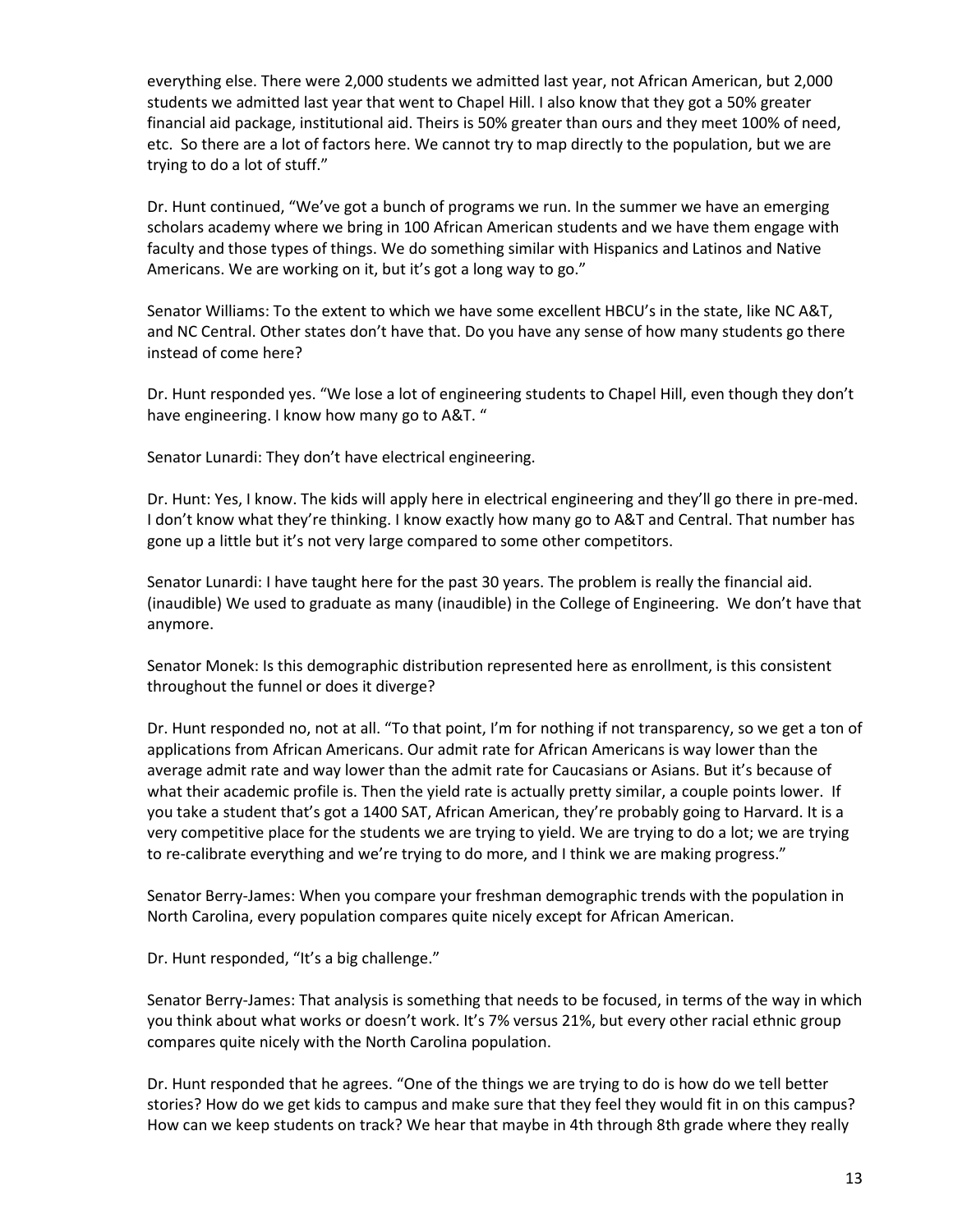everything else. There were 2,000 students we admitted last year, not African American, but 2,000 students we admitted last year that went to Chapel Hill. I also know that they got a 50% greater financial aid package, institutional aid. Theirs is 50% greater than ours and they meet 100% of need, etc. So there are a lot of factors here. We cannot try to map directly to the population, but we are trying to do a lot of stuff."

Dr. Hunt continued, "We've got a bunch of programs we run. In the summer we have an emerging scholars academy where we bring in 100 African American students and we have them engage with faculty and those types of things. We do something similar with Hispanics and Latinos and Native Americans. We are working on it, but it's got a long way to go."

Senator Williams: To the extent to which we have some excellent HBCU's in the state, like NC A&T, and NC Central. Other states don't have that. Do you have any sense of how many students go there instead of come here?

Dr. Hunt responded yes. "We lose a lot of engineering students to Chapel Hill, even though they don't have engineering. I know how many go to A&T. "

Senator Lunardi: They don't have electrical engineering.

Dr. Hunt: Yes, I know. The kids will apply here in electrical engineering and they'll go there in pre-med. I don't know what they're thinking. I know exactly how many go to A&T and Central. That number has gone up a little but it's not very large compared to some other competitors.

Senator Lunardi: I have taught here for the past 30 years. The problem is really the financial aid. (inaudible) We used to graduate as many (inaudible) in the College of Engineering. We don't have that anymore.

Senator Monek: Is this demographic distribution represented here as enrollment, is this consistent throughout the funnel or does it diverge?

Dr. Hunt responded no, not at all. "To that point, I'm for nothing if not transparency, so we get a ton of applications from African Americans. Our admit rate for African Americans is way lower than the average admit rate and way lower than the admit rate for Caucasians or Asians. But it's because of what their academic profile is. Then the yield rate is actually pretty similar, a couple points lower. If you take a student that's got a 1400 SAT, African American, they're probably going to Harvard. It is a very competitive place for the students we are trying to yield. We are trying to do a lot; we are trying to re-calibrate everything and we're trying to do more, and I think we are making progress."

Senator Berry-James: When you compare your freshman demographic trends with the population in North Carolina, every population compares quite nicely except for African American.

Dr. Hunt responded, "It's a big challenge."

Senator Berry-James: That analysis is something that needs to be focused, in terms of the way in which you think about what works or doesn't work. It's 7% versus 21%, but every other racial ethnic group compares quite nicely with the North Carolina population.

Dr. Hunt responded that he agrees. "One of the things we are trying to do is how do we tell better stories? How do we get kids to campus and make sure that they feel they would fit in on this campus? How can we keep students on track? We hear that maybe in 4th through 8th grade where they really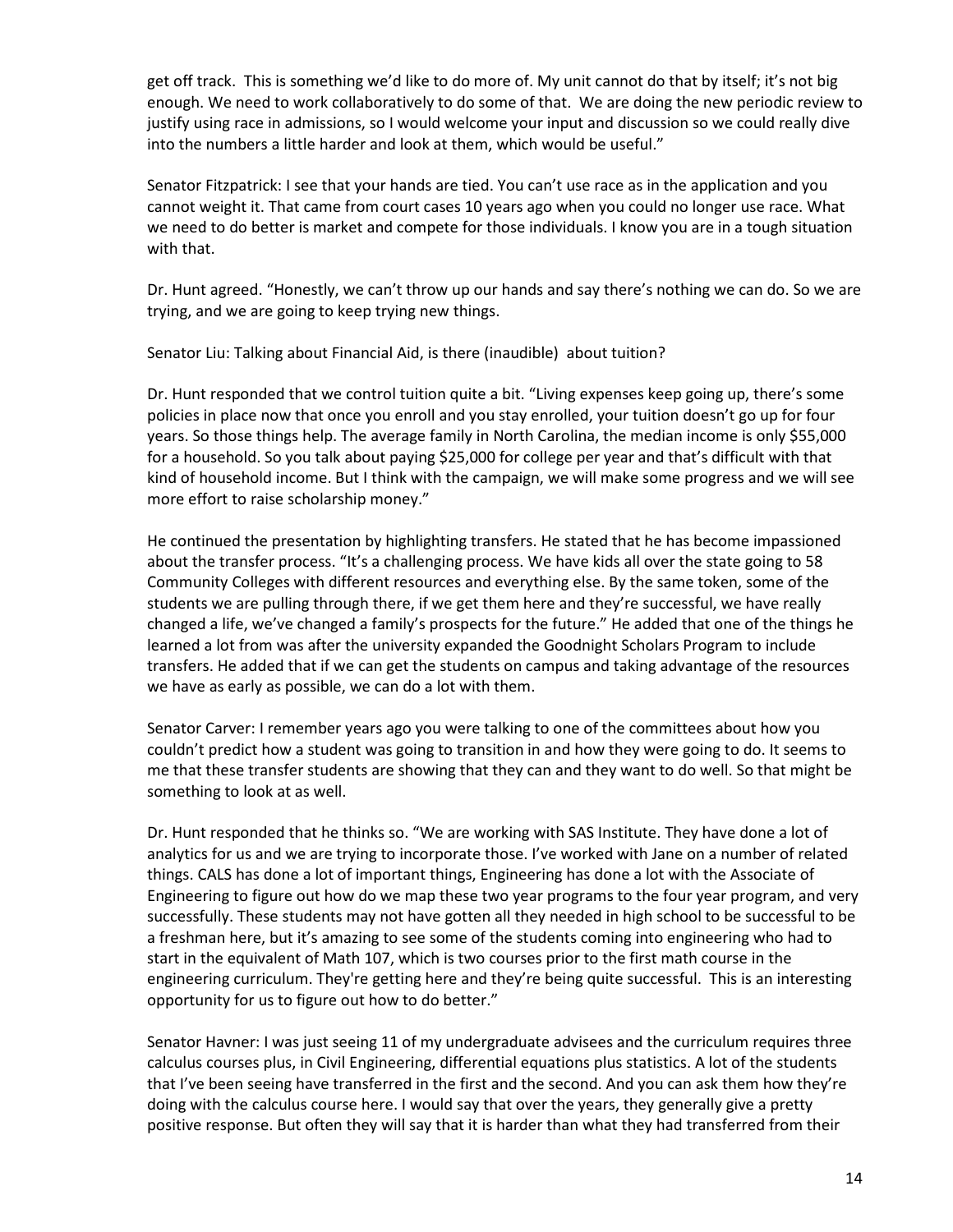get off track. This is something we'd like to do more of. My unit cannot do that by itself; it's not big enough. We need to work collaboratively to do some of that. We are doing the new periodic review to justify using race in admissions, so I would welcome your input and discussion so we could really dive into the numbers a little harder and look at them, which would be useful."

Senator Fitzpatrick: I see that your hands are tied. You can't use race as in the application and you cannot weight it. That came from court cases 10 years ago when you could no longer use race. What we need to do better is market and compete for those individuals. I know you are in a tough situation with that.

Dr. Hunt agreed. "Honestly, we can't throw up our hands and say there's nothing we can do. So we are trying, and we are going to keep trying new things.

Senator Liu: Talking about Financial Aid, is there (inaudible) about tuition?

Dr. Hunt responded that we control tuition quite a bit. "Living expenses keep going up, there's some policies in place now that once you enroll and you stay enrolled, your tuition doesn't go up for four years. So those things help. The average family in North Carolina, the median income is only \$55,000 for a household. So you talk about paying \$25,000 for college per year and that's difficult with that kind of household income. But I think with the campaign, we will make some progress and we will see more effort to raise scholarship money."

He continued the presentation by highlighting transfers. He stated that he has become impassioned about the transfer process. "It's a challenging process. We have kids all over the state going to 58 Community Colleges with different resources and everything else. By the same token, some of the students we are pulling through there, if we get them here and they're successful, we have really changed a life, we've changed a family's prospects for the future." He added that one of the things he learned a lot from was after the university expanded the Goodnight Scholars Program to include transfers. He added that if we can get the students on campus and taking advantage of the resources we have as early as possible, we can do a lot with them.

Senator Carver: I remember years ago you were talking to one of the committees about how you couldn't predict how a student was going to transition in and how they were going to do. It seems to me that these transfer students are showing that they can and they want to do well. So that might be something to look at as well.

Dr. Hunt responded that he thinks so. "We are working with SAS Institute. They have done a lot of analytics for us and we are trying to incorporate those. I've worked with Jane on a number of related things. CALS has done a lot of important things, Engineering has done a lot with the Associate of Engineering to figure out how do we map these two year programs to the four year program, and very successfully. These students may not have gotten all they needed in high school to be successful to be a freshman here, but it's amazing to see some of the students coming into engineering who had to start in the equivalent of Math 107, which is two courses prior to the first math course in the engineering curriculum. They're getting here and they're being quite successful. This is an interesting opportunity for us to figure out how to do better."

Senator Havner: I was just seeing 11 of my undergraduate advisees and the curriculum requires three calculus courses plus, in Civil Engineering, differential equations plus statistics. A lot of the students that I've been seeing have transferred in the first and the second. And you can ask them how they're doing with the calculus course here. I would say that over the years, they generally give a pretty positive response. But often they will say that it is harder than what they had transferred from their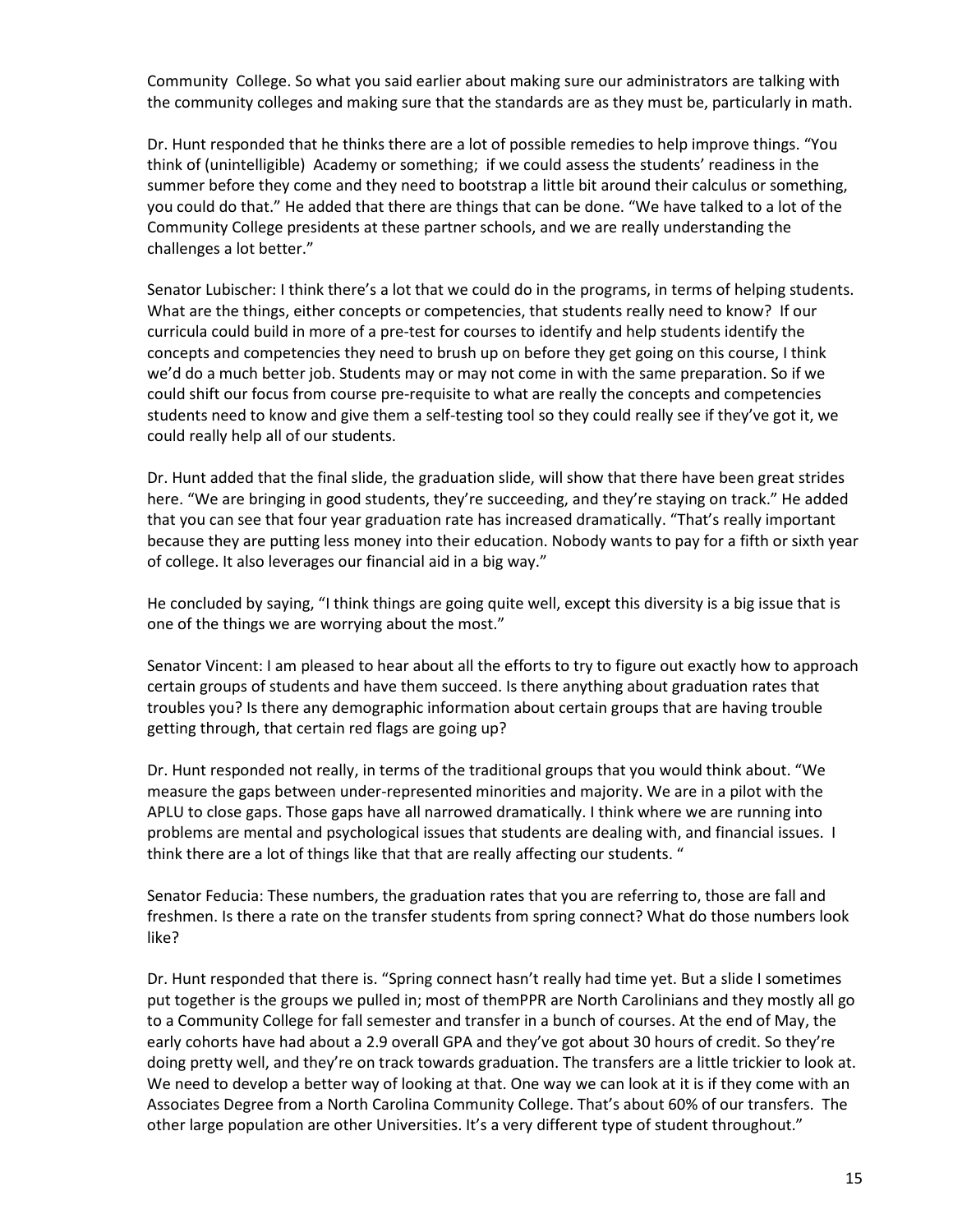Community College. So what you said earlier about making sure our administrators are talking with the community colleges and making sure that the standards are as they must be, particularly in math.

Dr. Hunt responded that he thinks there are a lot of possible remedies to help improve things. "You think of (unintelligible) Academy or something; if we could assess the students' readiness in the summer before they come and they need to bootstrap a little bit around their calculus or something, you could do that." He added that there are things that can be done. "We have talked to a lot of the Community College presidents at these partner schools, and we are really understanding the challenges a lot better."

Senator Lubischer: I think there's a lot that we could do in the programs, in terms of helping students. What are the things, either concepts or competencies, that students really need to know? If our curricula could build in more of a pre-test for courses to identify and help students identify the concepts and competencies they need to brush up on before they get going on this course, I think we'd do a much better job. Students may or may not come in with the same preparation. So if we could shift our focus from course pre-requisite to what are really the concepts and competencies students need to know and give them a self-testing tool so they could really see if they've got it, we could really help all of our students.

Dr. Hunt added that the final slide, the graduation slide, will show that there have been great strides here. "We are bringing in good students, they're succeeding, and they're staying on track." He added that you can see that four year graduation rate has increased dramatically. "That's really important because they are putting less money into their education. Nobody wants to pay for a fifth or sixth year of college. It also leverages our financial aid in a big way."

He concluded by saying, "I think things are going quite well, except this diversity is a big issue that is one of the things we are worrying about the most."

Senator Vincent: I am pleased to hear about all the efforts to try to figure out exactly how to approach certain groups of students and have them succeed. Is there anything about graduation rates that troubles you? Is there any demographic information about certain groups that are having trouble getting through, that certain red flags are going up?

Dr. Hunt responded not really, in terms of the traditional groups that you would think about. "We measure the gaps between under-represented minorities and majority. We are in a pilot with the APLU to close gaps. Those gaps have all narrowed dramatically. I think where we are running into problems are mental and psychological issues that students are dealing with, and financial issues. I think there are a lot of things like that that are really affecting our students. "

Senator Feducia: These numbers, the graduation rates that you are referring to, those are fall and freshmen. Is there a rate on the transfer students from spring connect? What do those numbers look like?

Dr. Hunt responded that there is. "Spring connect hasn't really had time yet. But a slide I sometimes put together is the groups we pulled in; most of themPPR are North Carolinians and they mostly all go to a Community College for fall semester and transfer in a bunch of courses. At the end of May, the early cohorts have had about a 2.9 overall GPA and they've got about 30 hours of credit. So they're doing pretty well, and they're on track towards graduation. The transfers are a little trickier to look at. We need to develop a better way of looking at that. One way we can look at it is if they come with an Associates Degree from a North Carolina Community College. That's about 60% of our transfers. The other large population are other Universities. It's a very different type of student throughout."